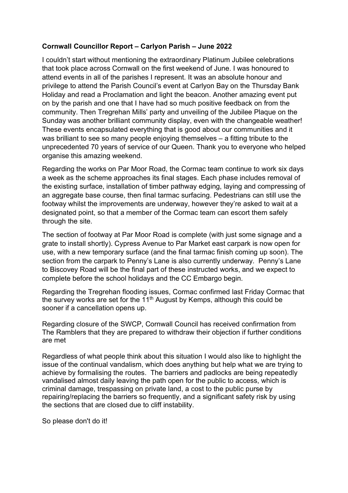## Cornwall Councillor Report – Carlyon Parish – June 2022

I couldn't start without mentioning the extraordinary Platinum Jubilee celebrations that took place across Cornwall on the first weekend of June. I was honoured to attend events in all of the parishes I represent. It was an absolute honour and privilege to attend the Parish Council's event at Carlyon Bay on the Thursday Bank Holiday and read a Proclamation and light the beacon. Another amazing event put on by the parish and one that I have had so much positive feedback on from the community. Then Tregrehan Mills' party and unveiling of the Jubilee Plaque on the Sunday was another brilliant community display, even with the changeable weather! These events encapsulated everything that is good about our communities and it was brilliant to see so many people enjoying themselves – a fitting tribute to the unprecedented 70 years of service of our Queen. Thank you to everyone who helped organise this amazing weekend.

Regarding the works on Par Moor Road, the Cormac team continue to work six days a week as the scheme approaches its final stages. Each phase includes removal of the existing surface, installation of timber pathway edging, laying and compressing of an aggregate base course, then final tarmac surfacing. Pedestrians can still use the footway whilst the improvements are underway, however they're asked to wait at a designated point, so that a member of the Cormac team can escort them safely through the site.

The section of footway at Par Moor Road is complete (with just some signage and a grate to install shortly). Cypress Avenue to Par Market east carpark is now open for use, with a new temporary surface (and the final tarmac finish coming up soon). The section from the carpark to Penny's Lane is also currently underway. Penny's Lane to Biscovey Road will be the final part of these instructed works, and we expect to complete before the school holidays and the CC Embargo begin.

Regarding the Tregrehan flooding issues, Cormac confirmed last Friday Cormac that the survey works are set for the  $11<sup>th</sup>$  August by Kemps, although this could be sooner if a cancellation opens up.

Regarding closure of the SWCP, Cornwall Council has received confirmation from The Ramblers that they are prepared to withdraw their objection if further conditions are met

Regardless of what people think about this situation I would also like to highlight the issue of the continual vandalism, which does anything but help what we are trying to achieve by formalising the routes. The barriers and padlocks are being repeatedly vandalised almost daily leaving the path open for the public to access, which is criminal damage, trespassing on private land, a cost to the public purse by repairing/replacing the barriers so frequently, and a significant safety risk by using the sections that are closed due to cliff instability.

So please don't do it!